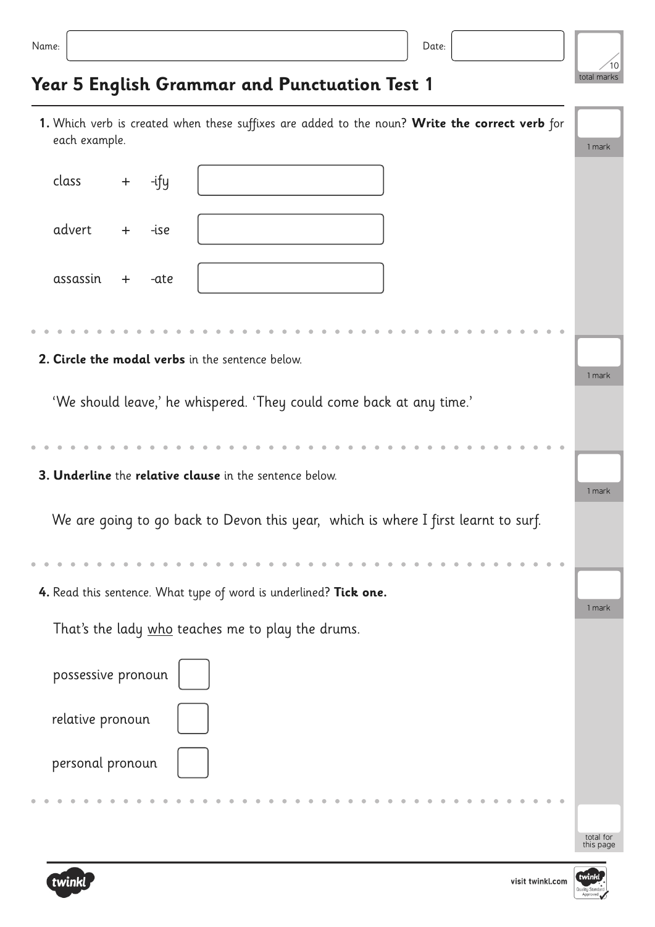| ×<br>. . | ٠ |  |
|----------|---|--|



## **Year 5 English Grammar and Punctuation Test 1**

| 1. Which verb is created when these suffixes are added to the noun? Write the correct verb for<br>each example. | 1 mark                 |
|-----------------------------------------------------------------------------------------------------------------|------------------------|
| class<br>-ify<br>$+$                                                                                            |                        |
| advert<br>-ise<br>$+$                                                                                           |                        |
| assassin<br>-ate<br>$+$                                                                                         |                        |
|                                                                                                                 |                        |
| 2. Circle the modal verbs in the sentence below.                                                                | 1 mark                 |
| 'We should leave,' he whispered. 'They could come back at any time.'                                            |                        |
|                                                                                                                 |                        |
| 3. Underline the relative clause in the sentence below.                                                         | 1 mark                 |
| We are going to go back to Devon this year, which is where I first learnt to surf.                              |                        |
|                                                                                                                 |                        |
| 4. Read this sentence. What type of word is underlined? Tick one.                                               |                        |
| That's the lady who teaches me to play the drums.                                                               | 1 mark                 |
| possessive pronoun                                                                                              |                        |
| relative pronoun                                                                                                |                        |
| personal pronoun                                                                                                |                        |
|                                                                                                                 |                        |
|                                                                                                                 | total for<br>this page |

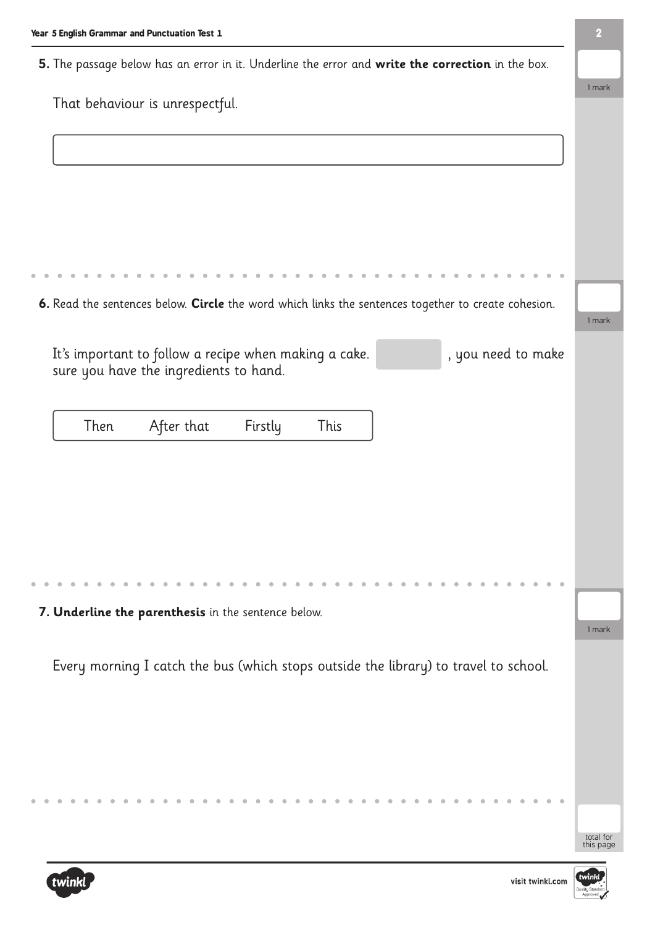**5.** The passage below has an error in it. Underline the error and **write the correction** in the box.

|                                                                                                     | 1 mark    |
|-----------------------------------------------------------------------------------------------------|-----------|
| That behaviour is unrespectful.                                                                     |           |
|                                                                                                     |           |
|                                                                                                     |           |
|                                                                                                     |           |
|                                                                                                     |           |
|                                                                                                     |           |
|                                                                                                     |           |
|                                                                                                     |           |
|                                                                                                     |           |
|                                                                                                     |           |
|                                                                                                     |           |
| 6. Read the sentences below. Circle the word which links the sentences together to create cohesion. |           |
|                                                                                                     | 1 mark    |
|                                                                                                     |           |
| It's important to follow a recipe when making a cake.<br>, you need to make                         |           |
| sure you have the ingredients to hand.                                                              |           |
|                                                                                                     |           |
|                                                                                                     |           |
| After that<br>Then<br>Firstly<br>This                                                               |           |
|                                                                                                     |           |
|                                                                                                     |           |
|                                                                                                     |           |
|                                                                                                     |           |
|                                                                                                     |           |
|                                                                                                     |           |
|                                                                                                     |           |
|                                                                                                     |           |
|                                                                                                     |           |
|                                                                                                     |           |
| 7. Underline the parenthesis in the sentence below.                                                 |           |
|                                                                                                     | 1 mark    |
|                                                                                                     |           |
| Every morning I catch the bus (which stops outside the library) to travel to school.                |           |
|                                                                                                     |           |
|                                                                                                     |           |
|                                                                                                     |           |
|                                                                                                     |           |
|                                                                                                     |           |
|                                                                                                     |           |
|                                                                                                     |           |
|                                                                                                     |           |
|                                                                                                     |           |
|                                                                                                     | total for |
|                                                                                                     | this page |

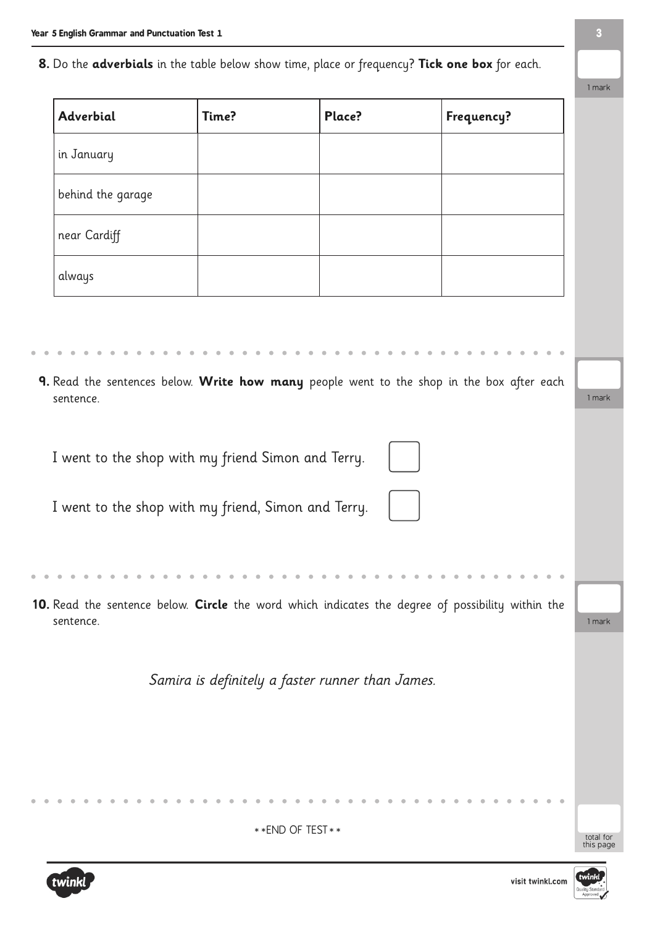**8.** Do the **adverbials** in the table below show time, place or frequency? **Tick one box** for each.

| Adverbial         | Time?                                               | Place?                                           | Frequency?                                                                                        |  |
|-------------------|-----------------------------------------------------|--------------------------------------------------|---------------------------------------------------------------------------------------------------|--|
| in January        |                                                     |                                                  |                                                                                                   |  |
| behind the garage |                                                     |                                                  |                                                                                                   |  |
| near Cardiff      |                                                     |                                                  |                                                                                                   |  |
| always            |                                                     |                                                  |                                                                                                   |  |
|                   |                                                     |                                                  |                                                                                                   |  |
|                   |                                                     |                                                  |                                                                                                   |  |
| sentence.         |                                                     |                                                  | 9. Read the sentences below. Write how many people went to the shop in the box after each         |  |
|                   |                                                     |                                                  |                                                                                                   |  |
|                   | I went to the shop with my friend Simon and Terry.  |                                                  |                                                                                                   |  |
|                   | I went to the shop with my friend, Simon and Terry. |                                                  |                                                                                                   |  |
|                   |                                                     |                                                  |                                                                                                   |  |
|                   |                                                     |                                                  |                                                                                                   |  |
| sentence.         |                                                     |                                                  | 10. Read the sentence below. Circle the word which indicates the degree of possibility within the |  |
|                   |                                                     |                                                  |                                                                                                   |  |
|                   |                                                     | Samira is definitely a faster runner than James. |                                                                                                   |  |
|                   |                                                     |                                                  |                                                                                                   |  |
|                   |                                                     |                                                  |                                                                                                   |  |
|                   |                                                     |                                                  |                                                                                                   |  |
|                   |                                                     |                                                  |                                                                                                   |  |

\*\* END OF TEST \*\*



 $\bullet$ 

 $\triangle$ 

 $\bullet$ 

total for<br>this page

1 mark